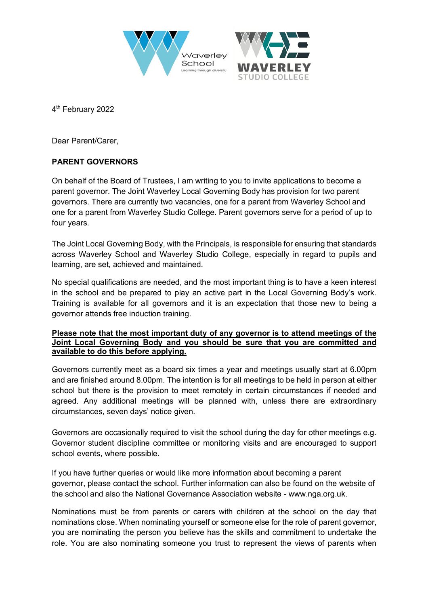



4<sup>th</sup> February 2022

Dear Parent/Carer,

## **PARENT GOVERNORS**

On behalf of the Board of Trustees, I am writing to you to invite applications to become a parent governor. The Joint Waverley Local Governing Body has provision for two parent governors. There are currently two vacancies, one for a parent from Waverley School and one for a parent from Waverley Studio College. Parent governors serve for a period of up to four years.

The Joint Local Governing Body, with the Principals, is responsible for ensuring that standards across Waverley School and Waverley Studio College, especially in regard to pupils and learning, are set, achieved and maintained.

No special qualifications are needed, and the most important thing is to have a keen interest in the school and be prepared to play an active part in the Local Governing Body's work. Training is available for all governors and it is an expectation that those new to being a governor attends free induction training.

## **Please note that the most important duty of any governor is to attend meetings of the Joint Local Governing Body and you should be sure that you are committed and available to do this before applying.**

Governors currently meet as a board six times a year and meetings usually start at 6.00pm and are finished around 8.00pm. The intention is for all meetings to be held in person at either school but there is the provision to meet remotely in certain circumstances if needed and agreed. Any additional meetings will be planned with, unless there are extraordinary circumstances, seven days' notice given.

Governors are occasionally required to visit the school during the day for other meetings e.g. Governor student discipline committee or monitoring visits and are encouraged to support school events, where possible.

If you have further queries or would like more information about becoming a parent governor, please contact the school. Further information can also be found on the website of the school and also the National Governance Association website - www.nga.org.uk.

Nominations must be from parents or carers with children at the school on the day that nominations close. When nominating yourself or someone else for the role of parent governor, you are nominating the person you believe has the skills and commitment to undertake the role. You are also nominating someone you trust to represent the views of parents when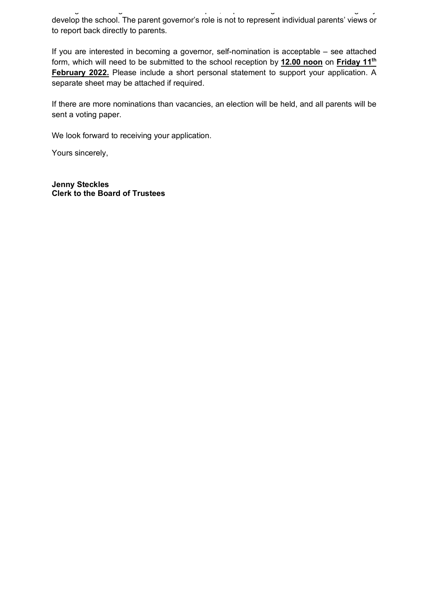working with other governors and the Principals, to promote high standards and strategically develop the school. The parent governor's role is not to represent individual parents' views or to report back directly to parents.

If you are interested in becoming a governor, self-nomination is acceptable – see attached form, which will need to be submitted to the school reception by **12.00 noon** on **Friday 11th February 2022.** Please include a short personal statement to support your application. A separate sheet may be attached if required.

If there are more nominations than vacancies, an election will be held, and all parents will be sent a voting paper.

We look forward to receiving your application.

Yours sincerely,

**Jenny Steckles Clerk to the Board of Trustees**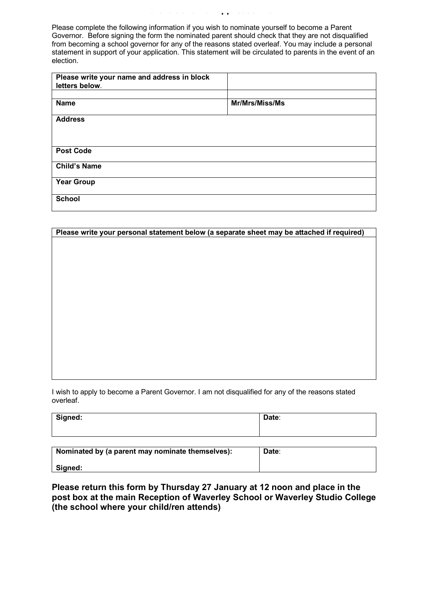Please complete the following information if you wish to nominate yourself to become a Parent Governor. Before signing the form the nominated parent should check that they are not disqualified from becoming a school governor for any of the reasons stated overleaf. You may include a personal statement in support of your application. This statement will be circulated to parents in the event of an election.

| Please write your name and address in block<br>letters below. |                |
|---------------------------------------------------------------|----------------|
|                                                               |                |
| <b>Name</b>                                                   | Mr/Mrs/Miss/Ms |
| <b>Address</b>                                                |                |
|                                                               |                |
| <b>Post Code</b>                                              |                |
| <b>Child's Name</b>                                           |                |
| <b>Year Group</b>                                             |                |
| <b>School</b>                                                 |                |

| Please write your personal statement below (a separate sheet may be attached if required) |  |
|-------------------------------------------------------------------------------------------|--|
|                                                                                           |  |
|                                                                                           |  |
|                                                                                           |  |
|                                                                                           |  |
|                                                                                           |  |
|                                                                                           |  |
|                                                                                           |  |
|                                                                                           |  |
|                                                                                           |  |
|                                                                                           |  |
|                                                                                           |  |
|                                                                                           |  |
|                                                                                           |  |
|                                                                                           |  |

I wish to apply to become a Parent Governor. I am not disqualified for any of the reasons stated overleaf.

| Signed: | Date: |
|---------|-------|
|         |       |

| Nominated by (a parent may nominate themselves): | Date: |
|--------------------------------------------------|-------|
| Signed:                                          |       |

**Please return this form by Thursday 27 January at 12 noon and place in the post box at the main Reception of Waverley School or Waverley Studio College (the school where your child/ren attends)**